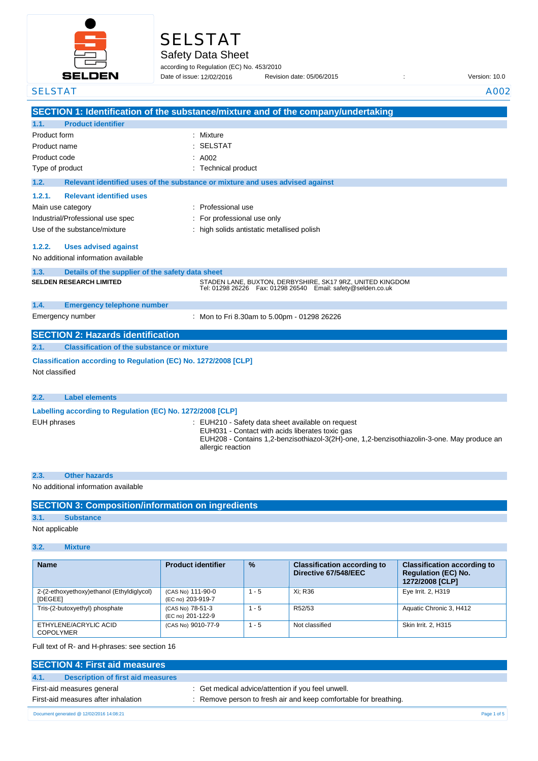

# SELSTAT

Safety Data Sheet

according to Regulation (EC) No. 453/2010 Date of issue: 12/02/2016

Date of issue: Revision date: 05/06/2015 : Version: 10.0

| <b>SELSTAT</b>                                                                    | A002                                                                                                                                                                                                                  |
|-----------------------------------------------------------------------------------|-----------------------------------------------------------------------------------------------------------------------------------------------------------------------------------------------------------------------|
|                                                                                   | SECTION 1: Identification of the substance/mixture and of the company/undertaking                                                                                                                                     |
| <b>Product identifier</b><br>1.1.                                                 |                                                                                                                                                                                                                       |
| Product form                                                                      | ٠<br>Mixture                                                                                                                                                                                                          |
| Product name                                                                      | <b>SELSTAT</b>                                                                                                                                                                                                        |
| Product code                                                                      | A002                                                                                                                                                                                                                  |
| Type of product                                                                   | Technical product                                                                                                                                                                                                     |
| 1.2.                                                                              | Relevant identified uses of the substance or mixture and uses advised against                                                                                                                                         |
| <b>Relevant identified uses</b><br>1.2.1.                                         |                                                                                                                                                                                                                       |
| Main use category                                                                 | : Professional use                                                                                                                                                                                                    |
| Industrial/Professional use spec                                                  | For professional use only                                                                                                                                                                                             |
| Use of the substance/mixture                                                      | high solids antistatic metallised polish                                                                                                                                                                              |
| 1.2.2.<br><b>Uses advised against</b>                                             |                                                                                                                                                                                                                       |
| No additional information available                                               |                                                                                                                                                                                                                       |
| 1.3.<br>Details of the supplier of the safety data sheet                          |                                                                                                                                                                                                                       |
| <b>SELDEN RESEARCH LIMITED</b>                                                    | STADEN LANE, BUXTON, DERBYSHIRE, SK17 9RZ, UNITED KINGDOM<br>Tel: 01298 26226    Fax: 01298 26540    Email: safety@selden.co.uk                                                                                       |
| 1.4.<br><b>Emergency telephone number</b>                                         |                                                                                                                                                                                                                       |
| Emergency number                                                                  | : Mon to Fri 8.30am to 5.00pm - 01298 26226                                                                                                                                                                           |
| <b>SECTION 2: Hazards identification</b>                                          |                                                                                                                                                                                                                       |
| 2.1.<br><b>Classification of the substance or mixture</b>                         |                                                                                                                                                                                                                       |
| Classification according to Regulation (EC) No. 1272/2008 [CLP]<br>Not classified |                                                                                                                                                                                                                       |
| <b>Label elements</b><br>2.2.                                                     |                                                                                                                                                                                                                       |
| Labelling according to Regulation (EC) No. 1272/2008 [CLP]                        |                                                                                                                                                                                                                       |
| <b>EUH</b> phrases                                                                | EUH210 - Safety data sheet available on request<br>EUH031 - Contact with acids liberates toxic gas<br>EUH208 - Contains 1,2-benzisothiazol-3(2H)-one, 1,2-benzisothiazolin-3-one. May produce an<br>allergic reaction |
| <b>Other hazards</b><br>2.3.                                                      |                                                                                                                                                                                                                       |
| No additional information available                                               |                                                                                                                                                                                                                       |

|  | <b>SECTION 3: Composition/information on ingredients</b> |
|--|----------------------------------------------------------|
|  |                                                          |

### **3.1. Substance**

Not applicable

### **3.2. Mixture**

| <b>Name</b>                                                 | <b>Product identifier</b>              | $\frac{9}{6}$ | <b>Classification according to</b><br>Directive 67/548/EEC | <b>Classification according to</b><br><b>Regulation (EC) No.</b><br>1272/2008 [CLP] |
|-------------------------------------------------------------|----------------------------------------|---------------|------------------------------------------------------------|-------------------------------------------------------------------------------------|
| 2-(2-ethoxyethoxy)ethanol (Ethyldiglycol)<br><b>IDEGEEI</b> | (CAS No) 111-90-0<br>(EC no) 203-919-7 | $1 - 5$       | Xi: R36                                                    | Eye Irrit. 2, H319                                                                  |
| Tris-(2-butoxyethyl) phosphate                              | (CAS No) 78-51-3<br>(EC no) 201-122-9  | $1 - 5$       | R52/53                                                     | Aquatic Chronic 3, H412                                                             |
| ETHYLENE/ACRYLIC ACID<br><b>COPOLYMER</b>                   | (CAS No) 9010-77-9                     | $1 - 5$       | Not classified                                             | Skin Irrit. 2, H315                                                                 |

Full text of R- and H-phrases: see section 16

| <b>SECTION 4: First aid measures</b>      |                                                                  |             |
|-------------------------------------------|------------------------------------------------------------------|-------------|
| Description of first aid measures<br>4.1. |                                                                  |             |
| First-aid measures general                | : Get medical advice/attention if you feel unwell.               |             |
| First-aid measures after inhalation       | : Remove person to fresh air and keep comfortable for breathing. |             |
| Document generated @ 12/02/2016 14:08:21  |                                                                  | Page 1 of 5 |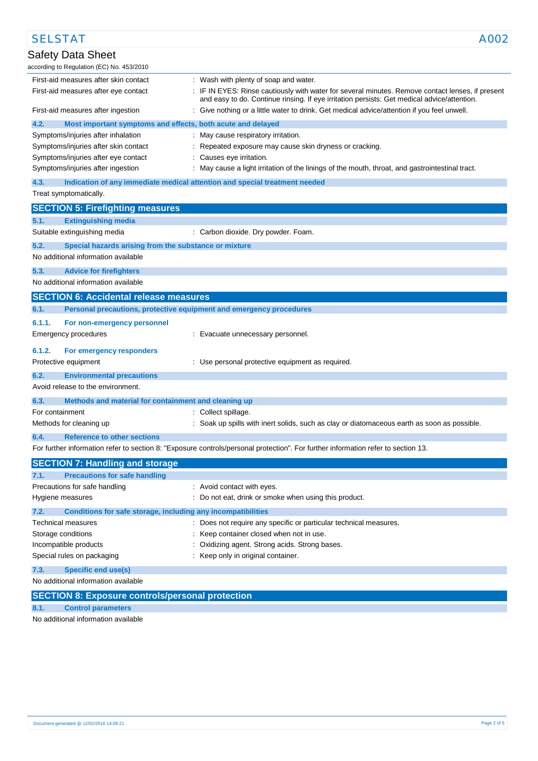| <b>SELSTAT</b>                                                              |                                                                                                                                                                                                 | A002 |
|-----------------------------------------------------------------------------|-------------------------------------------------------------------------------------------------------------------------------------------------------------------------------------------------|------|
| <b>Safety Data Sheet</b>                                                    |                                                                                                                                                                                                 |      |
| according to Regulation (EC) No. 453/2010                                   |                                                                                                                                                                                                 |      |
| First-aid measures after skin contact                                       | : Wash with plenty of soap and water.                                                                                                                                                           |      |
| First-aid measures after eye contact                                        | : IF IN EYES: Rinse cautiously with water for several minutes. Remove contact lenses, if present<br>and easy to do. Continue rinsing. If eye irritation persists: Get medical advice/attention. |      |
| First-aid measures after ingestion                                          | : Give nothing or a little water to drink. Get medical advice/attention if you feel unwell.                                                                                                     |      |
| 4.2.<br>Most important symptoms and effects, both acute and delayed         |                                                                                                                                                                                                 |      |
| Symptoms/injuries after inhalation                                          | : May cause respiratory irritation.                                                                                                                                                             |      |
| Symptoms/injuries after skin contact                                        | Repeated exposure may cause skin dryness or cracking.                                                                                                                                           |      |
| Symptoms/injuries after eye contact                                         | Causes eye irritation.                                                                                                                                                                          |      |
| Symptoms/injuries after ingestion                                           | : May cause a light irritation of the linings of the mouth, throat, and gastrointestinal tract.                                                                                                 |      |
| 4.3.                                                                        | Indication of any immediate medical attention and special treatment needed                                                                                                                      |      |
| Treat symptomatically.                                                      |                                                                                                                                                                                                 |      |
| <b>SECTION 5: Firefighting measures</b>                                     |                                                                                                                                                                                                 |      |
| 5.1.<br><b>Extinguishing media</b>                                          |                                                                                                                                                                                                 |      |
| Suitable extinguishing media                                                | : Carbon dioxide. Dry powder. Foam.                                                                                                                                                             |      |
| 5.2.<br>Special hazards arising from the substance or mixture               |                                                                                                                                                                                                 |      |
| No additional information available                                         |                                                                                                                                                                                                 |      |
| 5.3.<br><b>Advice for firefighters</b>                                      |                                                                                                                                                                                                 |      |
| No additional information available                                         |                                                                                                                                                                                                 |      |
| <b>SECTION 6: Accidental release measures</b>                               |                                                                                                                                                                                                 |      |
| 6.1.<br>Personal precautions, protective equipment and emergency procedures |                                                                                                                                                                                                 |      |
| 6.1.1.<br>For non-emergency personnel                                       |                                                                                                                                                                                                 |      |
| Emergency procedures                                                        | : Evacuate unnecessary personnel.                                                                                                                                                               |      |
|                                                                             |                                                                                                                                                                                                 |      |
| 6.1.2.<br>For emergency responders                                          |                                                                                                                                                                                                 |      |
| Protective equipment                                                        | : Use personal protective equipment as required.                                                                                                                                                |      |
| 6.2.<br><b>Environmental precautions</b>                                    |                                                                                                                                                                                                 |      |
| Avoid release to the environment.                                           |                                                                                                                                                                                                 |      |
| 6.3.<br>Methods and material for containment and cleaning up                |                                                                                                                                                                                                 |      |
| For containment                                                             | : Collect spillage.                                                                                                                                                                             |      |
| Methods for cleaning up                                                     | : Soak up spills with inert solids, such as clay or diatomaceous earth as soon as possible.                                                                                                     |      |
| <b>Reference to other sections</b>                                          |                                                                                                                                                                                                 |      |
|                                                                             | For further information refer to section 8: "Exposure controls/personal protection". For further information refer to section 13.                                                               |      |
| <b>SECTION 7: Handling and storage</b>                                      |                                                                                                                                                                                                 |      |
| <b>Precautions for safe handling</b><br>7.1.                                |                                                                                                                                                                                                 |      |
| Precautions for safe handling                                               | : Avoid contact with eyes.                                                                                                                                                                      |      |
| Hygiene measures                                                            | : Do not eat, drink or smoke when using this product.                                                                                                                                           |      |
| 7.2.<br>Conditions for safe storage, including any incompatibilities        |                                                                                                                                                                                                 |      |
| Technical measures                                                          | : Does not require any specific or particular technical measures.                                                                                                                               |      |
| Storage conditions                                                          | : Keep container closed when not in use.                                                                                                                                                        |      |
| Incompatible products                                                       | Oxidizing agent. Strong acids. Strong bases.                                                                                                                                                    |      |
| Special rules on packaging                                                  | : Keep only in original container.                                                                                                                                                              |      |
| 7.3.<br><b>Specific end use(s)</b>                                          |                                                                                                                                                                                                 |      |
| No additional information available                                         |                                                                                                                                                                                                 |      |
| <b>SECTION 8: Exposure controls/personal protection</b>                     |                                                                                                                                                                                                 |      |
| 8.1.<br><b>Control parameters</b>                                           |                                                                                                                                                                                                 |      |

No additional information available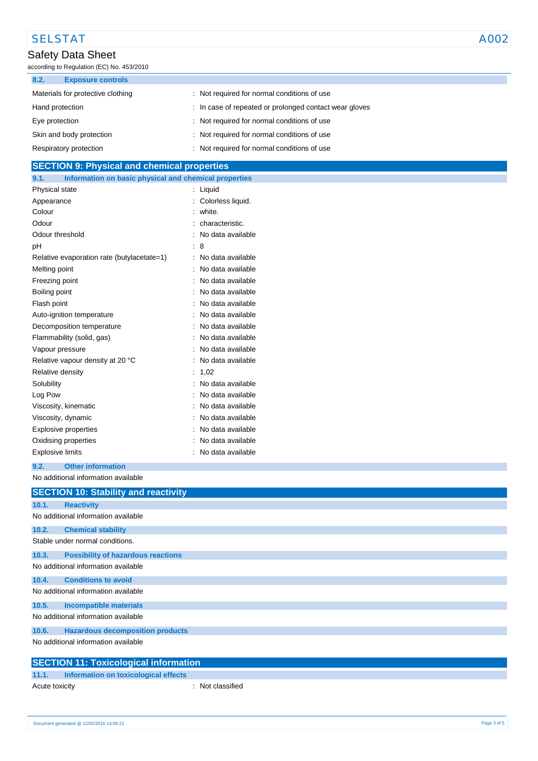# SELSTAT A002

### Safety Data Sheet

according to Regulation (EC) No. 453/2010

| 8.2.<br><b>Exposure controls</b>  |                                                        |
|-----------------------------------|--------------------------------------------------------|
| Materials for protective clothing | : Not required for normal conditions of use            |
| Hand protection                   | : In case of repeated or prolonged contact wear gloves |
| Eye protection                    | : Not required for normal conditions of use            |
| Skin and body protection          | : Not required for normal conditions of use            |
| Respiratory protection            | Not required for normal conditions of use              |

| <b>SECTION 9: Physical and chemical properties</b> |
|----------------------------------------------------|
|----------------------------------------------------|

| 9.1.                    | Information on basic physical and chemical properties |                   |
|-------------------------|-------------------------------------------------------|-------------------|
| Physical state          |                                                       | Liquid            |
| Appearance              |                                                       | Colorless liquid. |
| Colour                  |                                                       | white.            |
| Odour                   |                                                       | characteristic.   |
| Odour threshold         |                                                       | No data available |
| рH                      |                                                       | 8                 |
|                         | Relative evaporation rate (butylacetate=1)            | No data available |
| Melting point           |                                                       | No data available |
| Freezing point          |                                                       | No data available |
| Boiling point           |                                                       | No data available |
| Flash point             |                                                       | No data available |
|                         | Auto-ignition temperature                             | No data available |
|                         | Decomposition temperature                             | No data available |
|                         | Flammability (solid, gas)                             | No data available |
| Vapour pressure         |                                                       | No data available |
|                         | Relative vapour density at 20 °C                      | No data available |
| Relative density        |                                                       | 1.02              |
| Solubility              |                                                       | No data available |
| Log Pow                 |                                                       | No data available |
|                         | Viscosity, kinematic                                  | No data available |
| Viscosity, dynamic      |                                                       | No data available |
|                         | <b>Explosive properties</b>                           | No data available |
|                         | Oxidising properties                                  | No data available |
| <b>Explosive limits</b> |                                                       | No data available |

### **9.2. Other information**

No additional information available

|       | <b>SECTION 10: Stability and reactivity</b>  |
|-------|----------------------------------------------|
|       |                                              |
| 10.1. | <b>Reactivity</b>                            |
|       | No additional information available          |
| 10.2. | <b>Chemical stability</b>                    |
|       | Stable under normal conditions.              |
| 10.3. | <b>Possibility of hazardous reactions</b>    |
|       | No additional information available          |
| 10.4. | <b>Conditions to avoid</b>                   |
|       | No additional information available          |
| 10.5. | <b>Incompatible materials</b>                |
|       | No additional information available          |
| 10.6. | <b>Hazardous decomposition products</b>      |
|       | No additional information available          |
|       | <b>SECTION 11: Toxicological information</b> |

| <b>SECTION 11: Toxicological information</b> |
|----------------------------------------------|
|----------------------------------------------|

| 11.1.          | Information on toxicological effects |                  |
|----------------|--------------------------------------|------------------|
| Acute toxicity |                                      | : Not classified |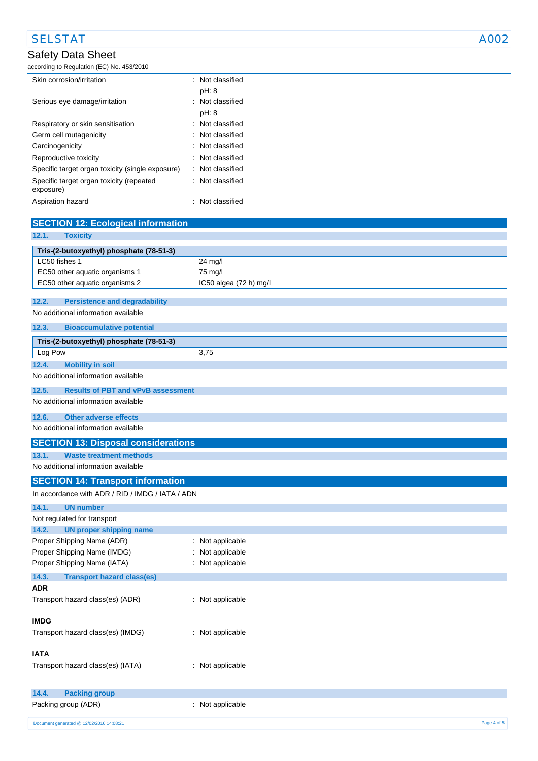## SELSTAT A002

### Safety Data Sheet

according to Regulation (EC) No. 453/2010

| Skin corrosion/irritation                             | : Not classified            |
|-------------------------------------------------------|-----------------------------|
|                                                       | pH: 8                       |
| Serious eye damage/irritation                         | : Not classified            |
|                                                       | pH: 8                       |
| Respiratory or skin sensitisation                     | $\therefore$ Not classified |
| Germ cell mutagenicity                                | : Not classified            |
| Carcinogenicity                                       | : Not classified            |
| Reproductive toxicity                                 | $\therefore$ Not classified |
| Specific target organ toxicity (single exposure)      | : Not classified            |
| Specific target organ toxicity (repeated<br>exposure) | : Not classified            |
| Aspiration hazard                                     | Not classified              |

| <b>SECTION 12: Ecological information</b>                                                    |                                  |  |
|----------------------------------------------------------------------------------------------|----------------------------------|--|
| 12.1.<br><b>Toxicity</b>                                                                     |                                  |  |
| Tris-(2-butoxyethyl) phosphate (78-51-3)                                                     |                                  |  |
| LC50 fishes 1                                                                                | 24 mg/l                          |  |
| EC50 other aquatic organisms 1                                                               | 75 mg/l                          |  |
| EC50 other aquatic organisms 2                                                               | IC50 algea (72 h) mg/l           |  |
|                                                                                              |                                  |  |
| 12.2.<br><b>Persistence and degradability</b><br>No additional information available         |                                  |  |
|                                                                                              |                                  |  |
| 12.3.<br><b>Bioaccumulative potential</b>                                                    |                                  |  |
| Tris-(2-butoxyethyl) phosphate (78-51-3)                                                     |                                  |  |
| Log Pow                                                                                      | 3,75                             |  |
| <b>Mobility in soil</b><br>12.4.                                                             |                                  |  |
| No additional information available                                                          |                                  |  |
| 12.5.<br><b>Results of PBT and vPvB assessment</b>                                           |                                  |  |
| No additional information available                                                          |                                  |  |
| <b>Other adverse effects</b><br>12.6.                                                        |                                  |  |
| No additional information available                                                          |                                  |  |
| <b>SECTION 13: Disposal considerations</b>                                                   |                                  |  |
| 13.1.<br><b>Waste treatment methods</b>                                                      |                                  |  |
| No additional information available                                                          |                                  |  |
|                                                                                              |                                  |  |
| <b>SECTION 14: Transport information</b><br>In accordance with ADR / RID / IMDG / IATA / ADN |                                  |  |
|                                                                                              |                                  |  |
| <b>UN number</b><br>14.1.                                                                    |                                  |  |
| Not regulated for transport                                                                  |                                  |  |
| <b>UN proper shipping name</b><br>14.2.                                                      |                                  |  |
| Proper Shipping Name (ADR)<br>Proper Shipping Name (IMDG)                                    | : Not applicable                 |  |
| Proper Shipping Name (IATA)                                                                  | Not applicable<br>Not applicable |  |
|                                                                                              |                                  |  |
| 14.3.<br><b>Transport hazard class(es)</b><br><b>ADR</b>                                     |                                  |  |
| Transport hazard class(es) (ADR)                                                             | : Not applicable                 |  |
|                                                                                              |                                  |  |
| IMDG                                                                                         |                                  |  |
| Transport hazard class(es) (IMDG)                                                            | : Not applicable                 |  |
|                                                                                              |                                  |  |
| <b>IATA</b>                                                                                  |                                  |  |
| Transport hazard class(es) (IATA)                                                            | : Not applicable                 |  |
|                                                                                              |                                  |  |
| <b>Packing group</b><br>14.4.                                                                |                                  |  |
| Packing group (ADR)                                                                          | : Not applicable                 |  |